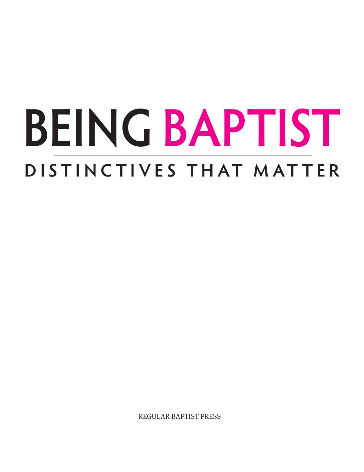# **BEING BAPTIST D ISTI N CTI VES THAT M AT TER**

REGULAR BAPTIST PRESS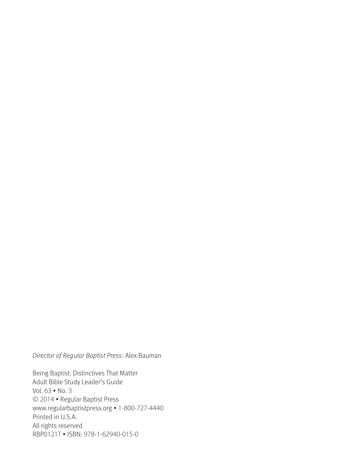#### Director of Regular Baptist Press: Alex Bauman

Being Baptist: Distinctives That Matter Adult Bible Study Leader's Guide Vol. 63 • No. 3 © 2014 • Regular Baptist Press www.regularbaptistpress.org • 1-800-727-4440 Printed in U.S.A. All rights reserved RBP0121T • ISBN: 978-1-62940-015-0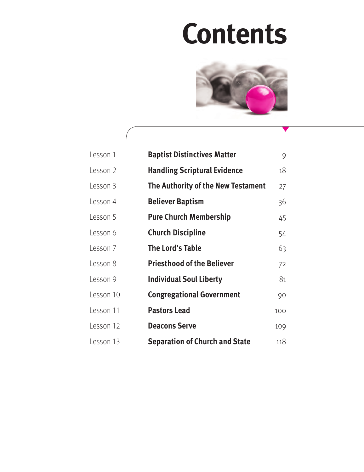## **Contents**



| Lesson 1  | <b>Baptist Distinctives Matter</b>    | 9   |
|-----------|---------------------------------------|-----|
| Lesson 2  | <b>Handling Scriptural Evidence</b>   | 18  |
| Lesson 3  | The Authority of the New Testament    | 27  |
| Lesson 4  | <b>Believer Baptism</b>               | 36  |
| Lesson 5  | <b>Pure Church Membership</b>         | 45  |
| Lesson 6  | <b>Church Discipline</b>              | 54  |
| Lesson 7  | The Lord's Table                      | 63  |
| Lesson 8  | <b>Priesthood of the Believer</b>     | 72  |
| Lesson 9  | <b>Individual Soul Liberty</b>        | 81  |
| Lesson 10 | <b>Congregational Government</b>      | 90  |
| Lesson 11 | <b>Pastors Lead</b>                   | 100 |
| Lesson 12 | <b>Deacons Serve</b>                  | 109 |
| Lesson 13 | <b>Separation of Church and State</b> | 118 |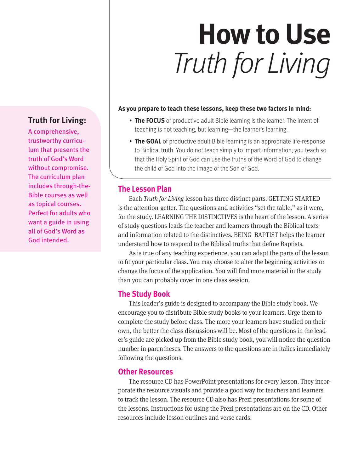## **How to Use** Truth for Living

#### **As you prepare to teach these lessons, keep these two factors in mind:**

- **The FOCUS** of productive adult Bible learning is the learner. The intent of teaching is not teaching, but learning—the learner's learning.
- **The GOAL** of productive adult Bible learning is an appropriate life-response to Biblical truth. You do not teach simply to impart information; you teach so that the Holy Spirit of God can use the truths of the Word of God to change the child of God into the image of the Son of God.

#### **The Lesson Plan**

Each *Truth for Living* lesson has three distinct parts. GETTING STARTED is the attention-getter. The questions and activities "set the table," as it were, for the study. LEARNING THE DISTINCTIVES is the heart of the lesson. A series of study questions leads the teacher and learners through the Biblical texts and information related to the distinctives. BEING BAPTIST helps the learner understand how to respond to the Biblical truths that define Baptists.

As is true of any teaching experience, you can adapt the parts of the lesson to fit your particular class. You may choose to alter the beginning activities or change the focus of the application. You will find more material in the study than you can probably cover in one class session.

#### **The Study Book**

This leader's guide is designed to accompany the Bible study book. We encourage you to distribute Bible study books to your learners. Urge them to complete the study before class. The more your learners have studied on their own, the better the class discussions will be. Most of the questions in the leader's guide are picked up from the Bible study book, you will notice the question number in parentheses. The answers to the questions are in italics immediately following the questions.

#### **Other Resources**

The resource CD has PowerPoint presentations for every lesson. They incorporate the resource visuals and provide a good way for teachers and learners to track the lesson. The resource CD also has Prezi presentations for some of the lessons. Instructions for using the Prezi presentations are on the CD. Other resources include lesson outlines and verse cards.

### **Truth for Living:**

A comprehensive, trustworthy curriculum that presents the truth of God's Word without compromise. The curriculum plan includes through-the-Bible courses as well as topical courses. Perfect for adults who want a guide in using all of God's Word as God intended.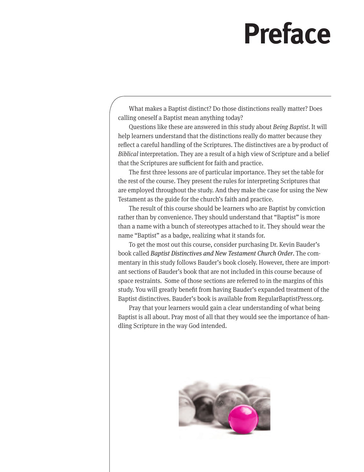## **Preface**

What makes a Baptist distinct? Do those distinctions really matter? Does calling oneself a Baptist mean anything today?

Questions like these are answered in this study about *Being Baptist*. It will help learners understand that the distinctions really do matter because they reflect a careful handling of the Scriptures. The distinctives are a by-product of *Biblical* interpretation. They are a result of a high view of Scripture and a belief that the Scriptures are sufficient for faith and practice.

The first three lessons are of particular importance. They set the table for the rest of the course. They present the rules for interpreting Scriptures that are employed throughout the study. And they make the case for using the New Testament as the guide for the church's faith and practice.

The result of this course should be learners who are Baptist by conviction rather than by convenience. They should understand that "Baptist" is more than a name with a bunch of stereotypes attached to it. They should wear the name "Baptist" as a badge, realizing what it stands for.

To get the most out this course, consider purchasing Dr. Kevin Bauder's book called *Baptist Distinctives and New Testament Church Order*. The commentary in this study follows Bauder's book closely. However, there are important sections of Bauder's book that are not included in this course because of space restraints. Some of those sections are referred to in the margins of this study. You will greatly benefit from having Bauder's expanded treatment of the Baptist distinctives. Bauder's book is available from RegularBaptistPress.org.

Pray that your learners would gain a clear understanding of what being Baptist is all about. Pray most of all that they would see the importance of handling Scripture in the way God intended.

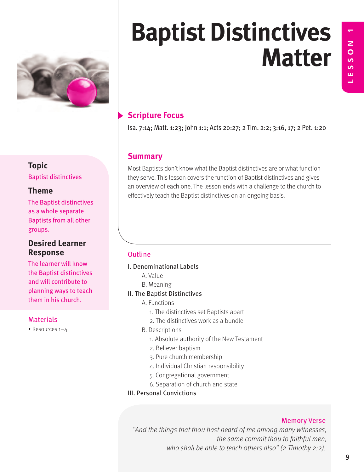

SSON 1 **LESSON 1**

Ш

## **Scripture Focus** Isa. 7:14; Matt. 1:23; John 1:1; Acts 20:27; 2 Tim. 2:2; 3:16, 17; 2 Pet. 1:20

#### **Summary**

Most Baptists don't know what the Baptist distinctives are or what function they serve. This lesson covers the function of Baptist distinctives and gives an overview of each one. The lesson ends with a challenge to the church to effectively teach the Baptist distinctives on an ongoing basis.

#### **Outline**

- I. Denominational Labels
	- A. Value
	- B. Meaning
- II. The Baptist Distinctives
	- A. Functions
		- 1. The distinctives set Baptists apart
		- 2. The distinctives work as a bundle
	- B. Descriptions
		- 1. Absolute authority of the New Testament
		- 2. Believer baptism
		- 3. Pure church membership
		- 4. Individual Christian responsibility
		- 5. Congregational government
		- 6. Separation of church and state
- III. Personal Convictions

#### Memory Verse

"And the things that thou hast heard of me among many witnesses, the same commit thou to faithful men, who shall be able to teach others also" (2 Timothy 2:2).

## **Topic**

Baptist distinctives

### **Theme**

The Baptist distinctives as a whole separate Baptists from all other groups.

### **Desired Learner Response**

The learner will know the Baptist distinctives and will contribute to planning ways to teach them in his church.

### **Materials**

• Resources 1–4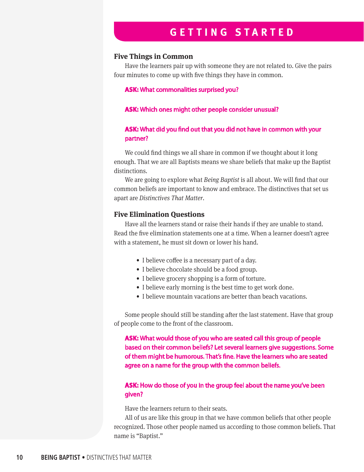## **GETTING STARTED**

#### **Five Things in Common**

Have the learners pair up with someone they are not related to. Give the pairs four minutes to come up with five things they have in common.

#### **ASK:** What commonalities surprised you?

#### **ASK:** Which ones might other people consider unusual?

#### **ASK:** What did you find out that you did not have in common with your partner?

We could find things we all share in common if we thought about it long enough. That we are all Baptists means we share beliefs that make up the Baptist distinctions.

We are going to explore what *Being Baptist* is all about. We will find that our common beliefs are important to know and embrace. The distinctives that set us apart are *Distinctives That Matter*.

#### **Five Elimination Questions**

Have all the learners stand or raise their hands if they are unable to stand. Read the five elimination statements one at a time. When a learner doesn't agree with a statement, he must sit down or lower his hand.

- I believe coffee is a necessary part of a day.
- I believe chocolate should be a food group.
- I believe grocery shopping is a form of torture.
- I believe early morning is the best time to get work done.
- I believe mountain vacations are better than beach vacations.

Some people should still be standing after the last statement. Have that group of people come to the front of the classroom.

**ASK:** What would those of you who are seated call this group of people based on their common beliefs? Let several learners give suggestions. Some of them might be humorous. That's fine. Have the learners who are seated agree on a name for the group with the common beliefs.

#### **ASK:** How do those of you in the group feel about the name you've been given?

Have the learners return to their seats.

All of us are like this group in that we have common beliefs that other people recognized. Those other people named us according to those common beliefs. That name is "Baptist."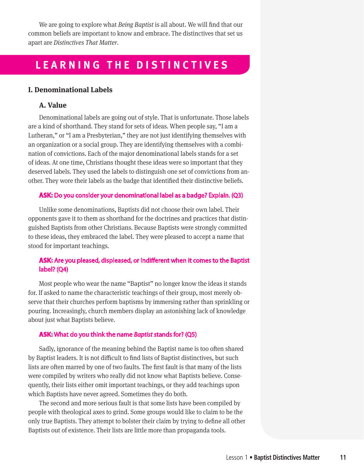We are going to explore what *Being Baptist* is all about. We will find that our common beliefs are important to know and embrace. The distinctives that set us apart are *Distinctives That Matter*.

## **LEARNING THE DISTINCTIVES**

#### **I. Denominational Labels**

#### **A. Value**

Denominational labels are going out of style. That is unfortunate. Those labels are a kind of shorthand. They stand for sets of ideas. When people say, "I am a Lutheran," or "I am a Presbyterian," they are not just identifying themselves with an organization or a social group. They are identifying themselves with a combination of convictions. Each of the major denominational labels stands for a set of ideas. At one time, Christians thought these ideas were so important that they deserved labels. They used the labels to distinguish one set of convictions from another. They wore their labels as the badge that identified their distinctive beliefs.

#### **ASK:** Do you consider your denominational label as a badge? Explain. (Q3)

Unlike some denominations, Baptists did not choose their own label. Their opponents gave it to them as shorthand for the doctrines and practices that distinguished Baptists from other Christians. Because Baptists were strongly committed to these ideas, they embraced the label. They were pleased to accept a name that stood for important teachings.

#### **ASK:** Are you pleased, displeased, or indifferent when it comes to the Baptist label? (Q4)

Most people who wear the name "Baptist" no longer know the ideas it stands for. If asked to name the characteristic teachings of their group, most merely observe that their churches perform baptisms by immersing rather than sprinkling or pouring. Increasingly, church members display an astonishing lack of knowledge about just what Baptists believe.

#### **ASK:** What do you think the name *Baptist* stands for? (Q5)

Sadly, ignorance of the meaning behind the Baptist name is too often shared by Baptist leaders. It is not difficult to find lists of Baptist distinctives, but such lists are often marred by one of two faults. The first fault is that many of the lists were compiled by writers who really did not know what Baptists believe. Consequently, their lists either omit important teachings, or they add teachings upon which Baptists have never agreed. Sometimes they do both.

The second and more serious fault is that some lists have been compiled by people with theological axes to grind. Some groups would like to claim to be the only true Baptists. They attempt to bolster their claim by trying to define all other Baptists out of existence. Their lists are little more than propaganda tools.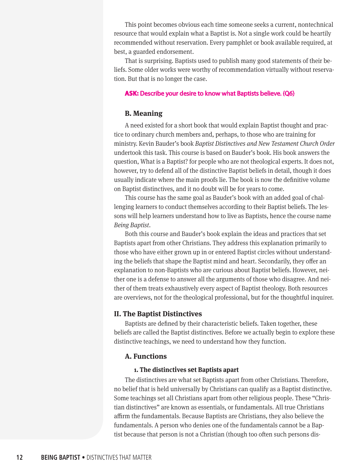This point becomes obvious each time someone seeks a current, nontechnical resource that would explain what a Baptist is. Not a single work could be heartily recommended without reservation. Every pamphlet or book available required, at best, a guarded endorsement.

That is surprising. Baptists used to publish many good statements of their beliefs. Some older works were worthy of recommendation virtually without reservation. But that is no longer the case.

#### **ASK:** Describe your desire to know what Baptists believe. (Q6)

#### **B. Meaning**

A need existed for a short book that would explain Baptist thought and practice to ordinary church members and, perhaps, to those who are training for ministry. Kevin Bauder's book *Baptist Distinctives and New Testament Church Order* undertook this task. This course is based on Bauder's book. His book answers the question, What is a Baptist? for people who are not theological experts. It does not, however, try to defend all of the distinctive Baptist beliefs in detail, though it does usually indicate where the main proofs lie. The book is now the definitive volume on Baptist distinctives, and it no doubt will be for years to come.

This course has the same goal as Bauder's book with an added goal of challenging learners to conduct themselves according to their Baptist beliefs. The lessons will help learners understand how to live as Baptists, hence the course name *Being Baptist*.

Both this course and Bauder's book explain the ideas and practices that set Baptists apart from other Christians. They address this explanation primarily to those who have either grown up in or entered Baptist circles without understanding the beliefs that shape the Baptist mind and heart. Secondarily, they offer an explanation to non-Baptists who are curious about Baptist beliefs. However, neither one is a defense to answer all the arguments of those who disagree. And neither of them treats exhaustively every aspect of Baptist theology. Both resources are overviews, not for the theological professional, but for the thoughtful inquirer.

#### **II. The Baptist Distinctives**

Baptists are defined by their characteristic beliefs. Taken together, these beliefs are called the Baptist distinctives. Before we actually begin to explore these distinctive teachings, we need to understand how they function.

#### **A. Functions**

#### **1. The distinctives set Baptists apart**

The distinctives are what set Baptists apart from other Christians. Therefore, no belief that is held universally by Christians can qualify as a Baptist distinctive. Some teachings set all Christians apart from other religious people. These "Christian distinctives" are known as essentials, or fundamentals. All true Christians affirm the fundamentals. Because Baptists are Christians, they also believe the fundamentals. A person who denies one of the fundamentals cannot be a Baptist because that person is not a Christian (though too often such persons dis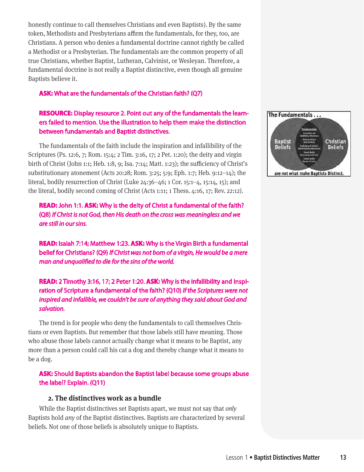honestly continue to call themselves Christians and even Baptists). By the same token, Methodists and Presbyterians affirm the fundamentals, for they, too, are Christians. A person who denies a fundamental doctrine cannot rightly be called a Methodist or a Presbyterian. The fundamentals are the common property of all true Christians, whether Baptist, Lutheran, Calvinist, or Wesleyan. Therefore, a fundamental doctrine is not really a Baptist distinctive, even though all genuine Baptists believe it.

#### **ASK:** What are the fundamentals of the Christian faith? (Q7)

#### **RESOURCE:** Display resource 2. Point out any of the fundamentals the learners failed to mention. Use the illustration to help them make the distinction between fundamentals and Baptist distinctives.

The fundamentals of the faith include the inspiration and infallibility of the Scriptures (Ps. 12:6, 7; Rom. 15:4; 2 Tim. 3:16, 17; 2 Pet. 1:20); the deity and virgin birth of Christ (John 1:1; Heb. 1:8, 9; Isa. 7:14; Matt. 1:23); the sufficiency of Christ's substitutionary atonement (Acts 20:28; Rom. 3:25; 5:9; Eph. 1:7; Heb. 9:12–14); the literal, bodily resurrection of Christ (Luke 24:36–46; 1 Cor. 15:1–4, 15:14, 15); and the literal, bodily second coming of Christ (Acts 1:11; 1 Thess. 4:16, 17; Rev. 22:12).

**READ:** John 1:1. **ASK:** Why is the deity of Christ a fundamental of the faith? (Q8) *If Christ is not God, then His death on the cross was meaningless and we are still in our sins.*

**READ:** Isaiah 7:14; Matthew 1:23. **ASK:** Why is the Virgin Birth a fundamental belief for Christians? (Q9) *If Christ was not born of a virgin, He would be a mere man and unqualified to die for the sins of the world.* 

**READ:** 2 Timothy 3:16, 17; 2 Peter 1:20. **ASK:** Why is the infallibility and inspiration of Scripture a fundamental of the faith? (Q10) *If the Scriptures were not inspired and infallible, we couldn't be sure of anything they said about God and salvation.*

The trend is for people who deny the fundamentals to call themselves Christians or even Baptists. But remember that those labels still have meaning. Those who abuse those labels cannot actually change what it means to be Baptist, any more than a person could call his cat a dog and thereby change what it means to be a dog.

**ASK:** Should Baptists abandon the Baptist label because some groups abuse the label? Explain. (Q11)

#### **2. The distinctives work as a bundle**

While the Baptist distinctives set Baptists apart, we must not say that *only* Baptists hold *any* of the Baptist distinctives. Baptists are characterized by several beliefs. Not one of those beliefs is absolutely unique to Baptists.

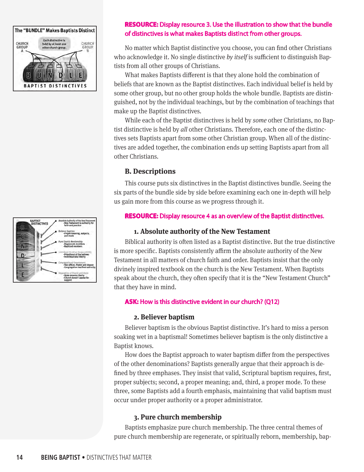



#### **RESOURCE:** Display resource 3. Use the illustration to show that the bundle of distinctives is what makes Baptists distinct from other groups.

No matter which Baptist distinctive you choose, you can find other Christians who acknowledge it. No single distinctive *by itself* is sufficient to distinguish Baptists from all other groups of Christians.

What makes Baptists different is that they alone hold the combination of beliefs that are known as the Baptist distinctives. Each individual belief is held by some other group, but no other group holds the whole bundle. Baptists are distinguished, not by the individual teachings, but by the combination of teachings that make up the Baptist distinctives.

While each of the Baptist distinctives is held by *some* other Christians, no Baptist distinctive is held by *all* other Christians. Therefore, each one of the distinctives sets Baptists apart from some other Christian group. When all of the distinctives are added together, the combination ends up setting Baptists apart from all other Christians.

#### **B. Descriptions**

This course puts six distinctives in the Baptist distinctives bundle. Seeing the six parts of the bundle side by side before examining each one in-depth will help us gain more from this course as we progress through it.

#### **RESOURCE:** Display resource 4 as an overview of the Baptist distinctives.

#### **1. Absolute authority of the New Testament**

Biblical authority is often listed as a Baptist distinctive. But the true distinctive is more specific. Baptists consistently affirm the absolute authority of the New Testament in all matters of church faith and order. Baptists insist that the only divinely inspired textbook on the church is the New Testament. When Baptists speak about the church, they often specify that it is the "New Testament Church" that they have in mind.

#### **ASK:** How is this distinctive evident in our church? (Q12)

#### **2. Believer baptism**

Believer baptism is the obvious Baptist distinctive. It's hard to miss a person soaking wet in a baptismal! Sometimes believer baptism is the only distinctive a Baptist knows.

How does the Baptist approach to water baptism differ from the perspectives of the other denominations? Baptists generally argue that their approach is defined by three emphases. They insist that valid, Scriptural baptism requires, first, proper subjects; second, a proper meaning; and, third, a proper mode. To these three, some Baptists add a fourth emphasis, maintaining that valid baptism must occur under proper authority or a proper administrator.

#### **3. Pure church membership**

Baptists emphasize pure church membership. The three central themes of pure church membership are regenerate, or spiritually reborn, membership, bap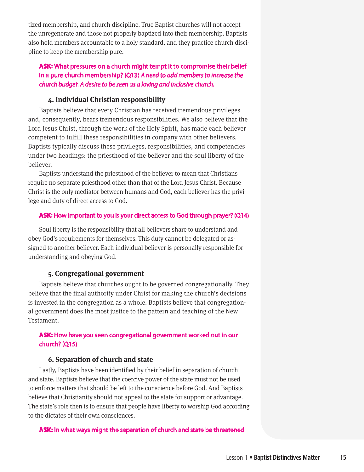tized membership, and church discipline. True Baptist churches will not accept the unregenerate and those not properly baptized into their membership. Baptists also hold members accountable to a holy standard, and they practice church discipline to keep the membership pure.

#### **ASK:** What pressures on a church might tempt it to compromise their belief in a pure church membership? (Q13) *A need to add members to increase the church budget. A desire to be seen as a loving and inclusive church.*

#### **4. Individual Christian responsibility**

Baptists believe that every Christian has received tremendous privileges and, consequently, bears tremendous responsibilities. We also believe that the Lord Jesus Christ, through the work of the Holy Spirit, has made each believer competent to fulfill these responsibilities in company with other believers. Baptists typically discuss these privileges, responsibilities, and competencies under two headings: the priesthood of the believer and the soul liberty of the believer.

Baptists understand the priesthood of the believer to mean that Christians require no separate priesthood other than that of the Lord Jesus Christ. Because Christ is the only mediator between humans and God, each believer has the privilege and duty of direct access to God.

#### **ASK:** How important to you is your direct access to God through prayer? (Q14)

Soul liberty is the responsibility that all believers share to understand and obey God's requirements for themselves. This duty cannot be delegated or assigned to another believer. Each individual believer is personally responsible for understanding and obeying God.

#### **5. Congregational government**

Baptists believe that churches ought to be governed congregationally. They believe that the final authority under Christ for making the church's decisions is invested in the congregation as a whole. Baptists believe that congregational government does the most justice to the pattern and teaching of the New Testament.

#### **ASK:** How have you seen congregational government worked out in our church? (Q15)

#### **6. Separation of church and state**

Lastly, Baptists have been identified by their belief in separation of church and state. Baptists believe that the coercive power of the state must not be used to enforce matters that should be left to the conscience before God. And Baptists believe that Christianity should not appeal to the state for support or advantage. The state's role then is to ensure that people have liberty to worship God according to the dictates of their own consciences.

#### **ASK:** In what ways might the separation of church and state be threatened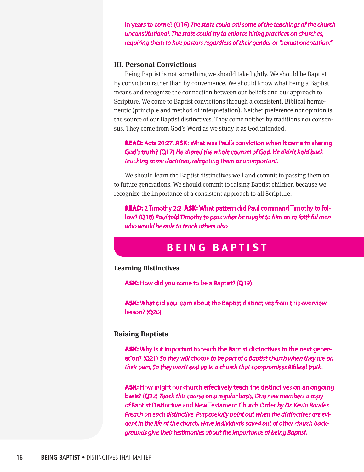in years to come? (Q16) *The state could call some of the teachings of the church unconstitutional. The state could try to enforce hiring practices on churches, requiring them to hire pastors regardless of their gender or "sexual orientation."*

#### **III. Personal Convictions**

Being Baptist is not something we should take lightly. We should be Baptist by conviction rather than by convenience. We should know what being a Baptist means and recognize the connection between our beliefs and our approach to Scripture. We come to Baptist convictions through a consistent, Biblical hermeneutic (principle and method of interpretation). Neither preference nor opinion is the source of our Baptist distinctives. They come neither by traditions nor consensus. They come from God's Word as we study it as God intended.

#### **READ:** Acts 20:27. **ASK:** What was Paul's conviction when it came to sharing God's truth? (Q17) *He shared the whole counsel of God. He didn't hold back teaching some doctrines, relegating them as unimportant.*

We should learn the Baptist distinctives well and commit to passing them on to future generations. We should commit to raising Baptist children because we recognize the importance of a consistent approach to all Scripture.

**READ:** 2 Timothy 2:2. **ASK:** What pattern did Paul command Timothy to follow? (Q18) *Paul told Timothy to pass what he taught to him on to faithful men who would be able to teach others also.* 

## **BEING BAPTIST**

#### **Learning Distinctives**

**ASK:** How did you come to be a Baptist? (Q19)

**ASK:** What did you learn about the Baptist distinctives from this overview lesson? (Q20)

#### **Raising Baptists**

**ASK:** Why is it important to teach the Baptist distinctives to the next generation? (Q21) *So they will choose to be part of a Baptist church when they are on their own. So they won't end up in a church that compromises Biblical truth.*

**ASK:** How might our church effectively teach the distinctives on an ongoing basis? (Q22) *Teach this course on a regular basis. Give new members a copy of* Baptist Distinctive and New Testament Church Order *by Dr. Kevin Bauder. Preach on each distinctive. Purposefully point out when the distinctives are evident in the life of the church. Have individuals saved out of other church backgrounds give their testimonies about the importance of being Baptist.*